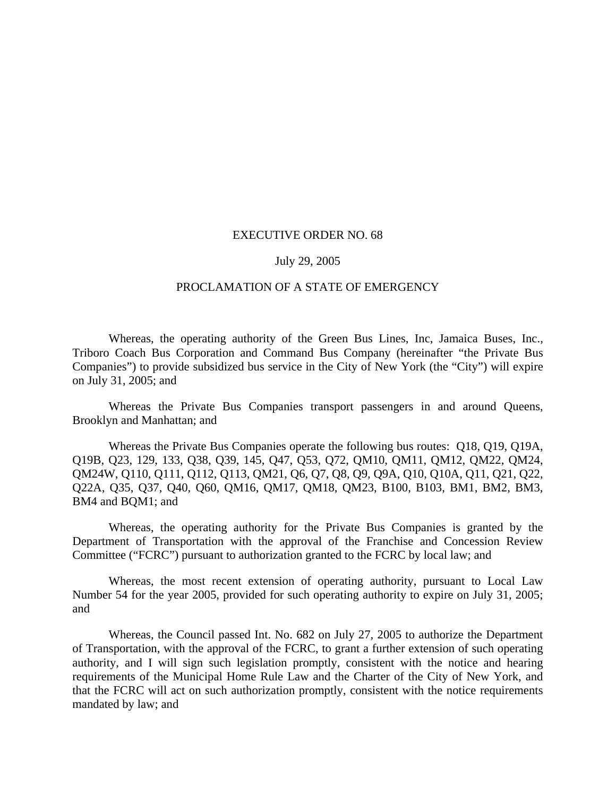## EXECUTIVE ORDER NO. 68

## July 29, 2005

## PROCLAMATION OF A STATE OF EMERGENCY

Whereas, the operating authority of the Green Bus Lines, Inc, Jamaica Buses, Inc., Triboro Coach Bus Corporation and Command Bus Company (hereinafter "the Private Bus Companies") to provide subsidized bus service in the City of New York (the "City") will expire on July 31, 2005; and

Whereas the Private Bus Companies transport passengers in and around Queens, Brooklyn and Manhattan; and

Whereas the Private Bus Companies operate the following bus routes: Q18, Q19, Q19A, Q19B, Q23, 129, 133, Q38, Q39, 145, Q47, Q53, Q72, QM10, QM11, QM12, QM22, QM24, QM24W, Q110, Q111, Q112, Q113, QM21, Q6, Q7, Q8, Q9, Q9A, Q10, Q10A, Q11, Q21, Q22, Q22A, Q35, Q37, Q40, Q60, QM16, QM17, QM18, QM23, B100, B103, BM1, BM2, BM3, BM4 and BQM1; and

Whereas, the operating authority for the Private Bus Companies is granted by the Department of Transportation with the approval of the Franchise and Concession Review Committee ("FCRC") pursuant to authorization granted to the FCRC by local law; and

Whereas, the most recent extension of operating authority, pursuant to Local Law Number 54 for the year 2005, provided for such operating authority to expire on July 31, 2005; and

Whereas, the Council passed Int. No. 682 on July 27, 2005 to authorize the Department of Transportation, with the approval of the FCRC, to grant a further extension of such operating authority, and I will sign such legislation promptly, consistent with the notice and hearing requirements of the Municipal Home Rule Law and the Charter of the City of New York, and that the FCRC will act on such authorization promptly, consistent with the notice requirements mandated by law; and